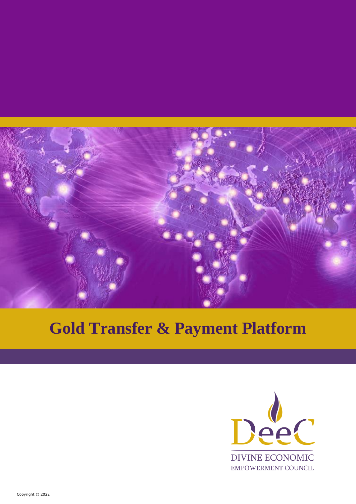

# **Gold Transfer & Payment Platform**

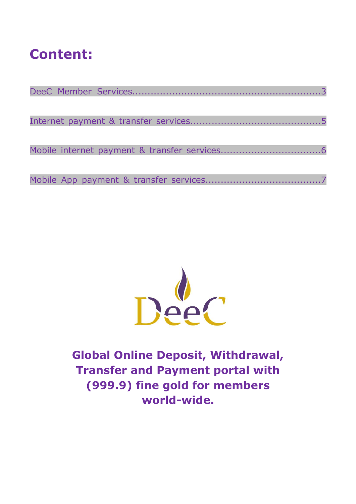## **Content:**



**Global Online Deposit, Withdrawal, Transfer and Payment portal with (999.9) fine gold for members world-wide.**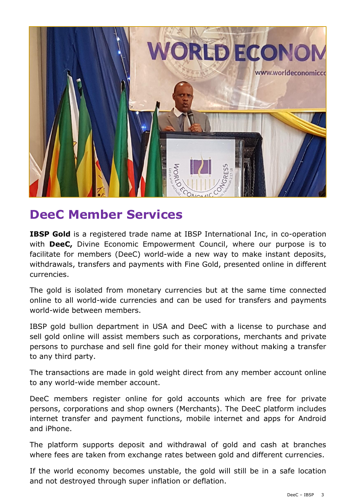

## **DeeC Member Services**

**IBSP Gold** is a registered trade name at IBSP International Inc, in co-operation with **DeeC,** Divine Economic Empowerment Council, where our purpose is to facilitate for members (DeeC) world-wide a new way to make instant deposits, withdrawals, transfers and payments with Fine Gold, presented online in different currencies.

The gold is isolated from monetary currencies but at the same time connected online to all world-wide currencies and can be used for transfers and payments world-wide between members.

IBSP gold bullion department in USA and DeeC with a license to purchase and sell gold online will assist members such as corporations, merchants and private persons to purchase and sell fine gold for their money without making a transfer to any third party.

The transactions are made in gold weight direct from any member account online to any world-wide member account.

DeeC members register online for gold accounts which are free for private persons, corporations and shop owners (Merchants). The DeeC platform includes internet transfer and payment functions, mobile internet and apps for Android and iPhone.

The platform supports deposit and withdrawal of gold and cash at branches where fees are taken from exchange rates between gold and different currencies.

If the world economy becomes unstable, the gold will still be in a safe location and not destroyed through super inflation or deflation.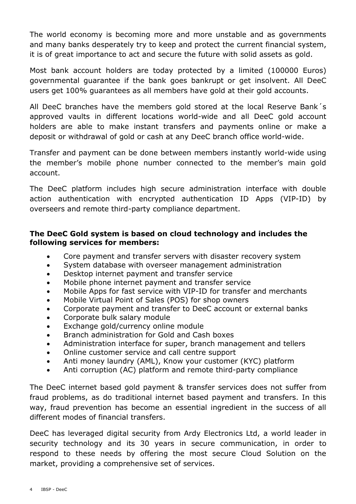The world economy is becoming more and more unstable and as governments and many banks desperately try to keep and protect the current financial system, it is of great importance to act and secure the future with solid assets as gold.

Most bank account holders are today protected by a limited (100000 Euros) governmental guarantee if the bank goes bankrupt or get insolvent. All DeeC users get 100% guarantees as all members have gold at their gold accounts.

All DeeC branches have the members gold stored at the local Reserve Bank´s approved vaults in different locations world-wide and all DeeC gold account holders are able to make instant transfers and payments online or make a deposit or withdrawal of gold or cash at any DeeC branch office world-wide.

Transfer and payment can be done between members instantly world-wide using the member's mobile phone number connected to the member's main gold account.

The DeeC platform includes high secure administration interface with double action authentication with encrypted authentication ID Apps (VIP-ID) by overseers and remote third-party compliance department.

#### **The DeeC Gold system is based on cloud technology and includes the following services for members:**

- Core payment and transfer servers with disaster recovery system
- System database with overseer management administration
- Desktop internet payment and transfer service
- Mobile phone internet payment and transfer service
- Mobile Apps for fast service with VIP-ID for transfer and merchants
- Mobile Virtual Point of Sales (POS) for shop owners
- Corporate payment and transfer to DeeC account or external banks
- Corporate bulk salary module
- Exchange gold/currency online module
- Branch administration for Gold and Cash boxes
- Administration interface for super, branch management and tellers
- Online customer service and call centre support
- Anti money laundry (AML), Know your customer (KYC) platform
- Anti corruption (AC) platform and remote third-party compliance

The DeeC internet based gold payment & transfer services does not suffer from fraud problems, as do traditional internet based payment and transfers. In this way, fraud prevention has become an essential ingredient in the success of all different modes of financial transfers.

DeeC has leveraged digital security from Ardy Electronics Ltd, a world leader in security technology and its 30 years in secure communication, in order to respond to these needs by offering the most secure Cloud Solution on the market, providing a comprehensive set of services.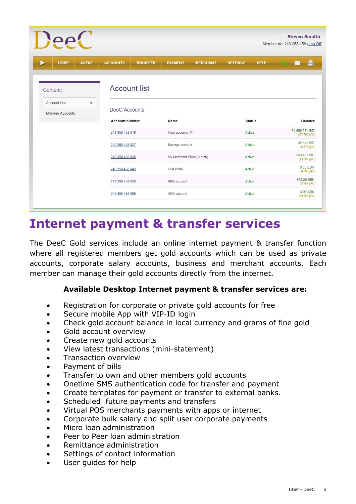| $\text{PeC}$                |                       |                          |                  |                 |                 |               | <b>Steven Smidth</b><br>Member no: 249 358 458 (Log Off) |                |  |
|-----------------------------|-----------------------|--------------------------|------------------|-----------------|-----------------|---------------|----------------------------------------------------------|----------------|--|
| <b>HOME</b><br><b>AGENT</b> | <b>ACCOUNTS</b>       | <b>TRANSFER</b>          | <b>PAYMENT</b>   | <b>MERCHANT</b> | <b>SETTINGS</b> | <b>HELP</b>   |                                                          |                |  |
| Content:                    | <b>Account list</b>   |                          |                  |                 |                 |               |                                                          |                |  |
| Account List<br>٠           |                       |                          |                  |                 |                 |               |                                                          |                |  |
| Manage Accounts             | DeeC Accounts         |                          |                  |                 |                 |               |                                                          |                |  |
|                             | <b>Account number</b> |                          | Name             |                 |                 | <b>Status</b> |                                                          | <b>Balance</b> |  |
|                             | 249 358 458 019       |                          | Main account (M) |                 | Active          |               | 34,659.37 USD<br>(837.790 gAU)                           |                |  |
|                             | 249 358 458 027       |                          | Savings account  |                 | Active          |               | 32.14 USD<br>(0.777 gAU)                                 |                |  |
|                             | 249 358 458 035       | My Merchant Shop (Merch) |                  | Active          |                 |               | 550.43 USD<br>(13.305 gAU)                               |                |  |
|                             | 249 358 458 043       |                          | Test konto       |                 | Active          |               | 0.00 EUR<br>(0.000 gAU)                                  |                |  |
|                             | 249 358 458 050       |                          | SEK account      |                 | Active          |               | 878.25 SEK<br>(2.504 gAU)                                |                |  |
|                             | 249 358 458 068       |                          | ARK account      |                 | Active          |               | 4.00 ARK<br>(40.000 gAU)                                 |                |  |

### **Internet payment & transfer services**

The DeeC Gold services include an online internet payment & transfer function where all registered members get gold accounts which can be used as private accounts, corporate salary accounts, business and merchant accounts. Each member can manage their gold accounts directly from the internet.

#### **Available Desktop Internet payment & transfer services are:**

- Registration for corporate or private gold accounts for free
- Secure mobile App with VIP-ID login
- Check gold account balance in local currency and grams of fine gold
- Gold account overview
- Create new gold accounts
- View latest transactions (mini-statement)
- Transaction overview
- Payment of bills
- Transfer to own and other members gold accounts
- Onetime SMS authentication code for transfer and payment
- Create templates for payment or transfer to external banks.
- Scheduled future payments and transfers
- Virtual POS merchants payments with apps or internet
- Corporate bulk salary and split user corporate payments
- Micro loan administration
- Peer to Peer loan administration
- Remittance administration
- Settings of contact information
- User quides for help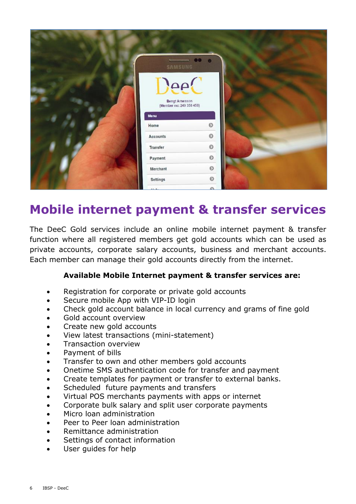

## **Mobile internet payment & transfer services**

The DeeC Gold services include an online mobile internet payment & transfer function where all registered members get gold accounts which can be used as private accounts, corporate salary accounts, business and merchant accounts. Each member can manage their gold accounts directly from the internet.

#### **Available Mobile Internet payment & transfer services are:**

- Registration for corporate or private gold accounts
- Secure mobile App with VIP-ID login
- Check gold account balance in local currency and grams of fine gold
- Gold account overview
- Create new gold accounts
- View latest transactions (mini-statement)
- Transaction overview
- Payment of bills
- Transfer to own and other members gold accounts
- Onetime SMS authentication code for transfer and payment
- Create templates for payment or transfer to external banks.
- Scheduled future payments and transfers
- Virtual POS merchants payments with apps or internet
- Corporate bulk salary and split user corporate payments
- Micro loan administration
- Peer to Peer loan administration
- Remittance administration
- Settings of contact information
- User guides for help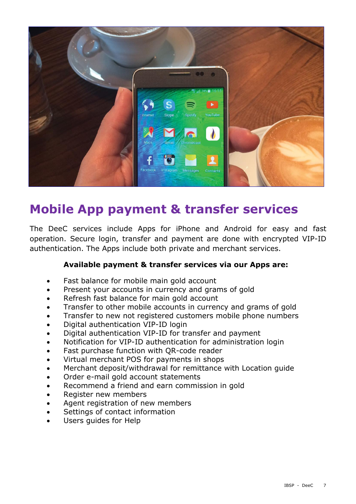

## **Mobile App payment & transfer services**

The DeeC services include Apps for iPhone and Android for easy and fast operation. Secure login, transfer and payment are done with encrypted VIP-ID authentication. The Apps include both private and merchant services.

#### **Available payment & transfer services via our Apps are:**

- Fast balance for mobile main gold account
- Present your accounts in currency and grams of gold
- Refresh fast balance for main gold account
- Transfer to other mobile accounts in currency and grams of gold
- Transfer to new not registered customers mobile phone numbers
- Digital authentication VIP-ID login
- Digital authentication VIP-ID for transfer and payment
- Notification for VIP-ID authentication for administration login
- Fast purchase function with QR-code reader
- Virtual merchant POS for payments in shops
- Merchant deposit/withdrawal for remittance with Location guide
- Order e-mail gold account statements
- Recommend a friend and earn commission in gold
- Register new members
- Agent registration of new members
- Settings of contact information
- Users quides for Help